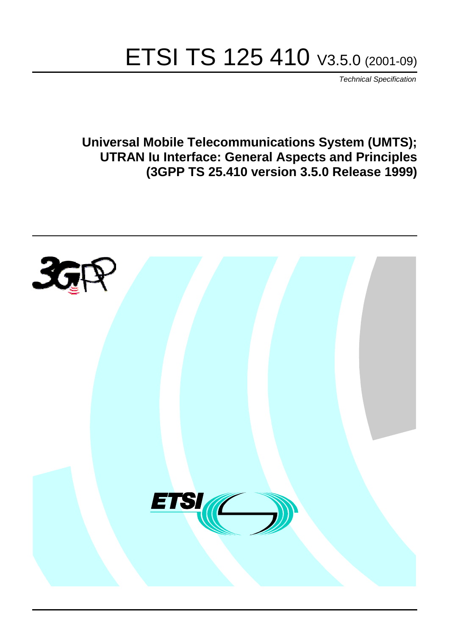# ETSI TS 125 410 V3.5.0 (2001-09)

Technical Specification

**Universal Mobile Telecommunications System (UMTS); UTRAN Iu Interface: General Aspects and Principles (3GPP TS 25.410 version 3.5.0 Release 1999)**

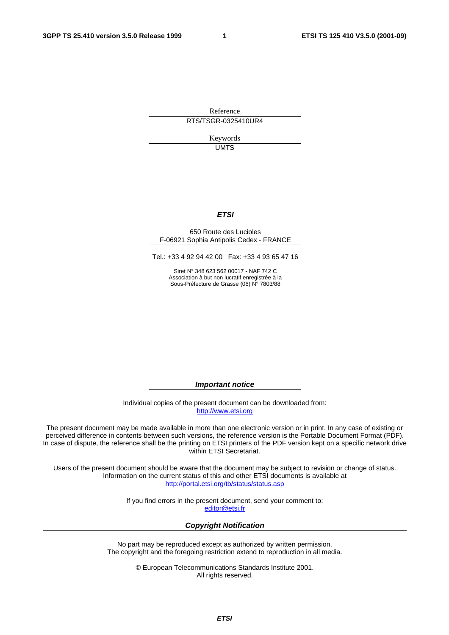Reference RTS/TSGR-0325410UR4

> Keywords **UMTS**

#### **ETSI**

#### 650 Route des Lucioles F-06921 Sophia Antipolis Cedex - FRANCE

Tel.: +33 4 92 94 42 00 Fax: +33 4 93 65 47 16

Siret N° 348 623 562 00017 - NAF 742 C Association à but non lucratif enregistrée à la Sous-Préfecture de Grasse (06) N° 7803/88

**Important notice** 

Individual copies of the present document can be downloaded from: [http://www.etsi.org](http://www.etsi.org/)

The present document may be made available in more than one electronic version or in print. In any case of existing or perceived difference in contents between such versions, the reference version is the Portable Document Format (PDF). In case of dispute, the reference shall be the printing on ETSI printers of the PDF version kept on a specific network drive within ETSI Secretariat.

Users of the present document should be aware that the document may be subject to revision or change of status. Information on the current status of this and other ETSI documents is available at <http://portal.etsi.org/tb/status/status.asp>

> If you find errors in the present document, send your comment to: [editor@etsi.fr](mailto:editor@etsi.fr)

#### **Copyright Notification**

No part may be reproduced except as authorized by written permission. The copyright and the foregoing restriction extend to reproduction in all media.

> © European Telecommunications Standards Institute 2001. All rights reserved.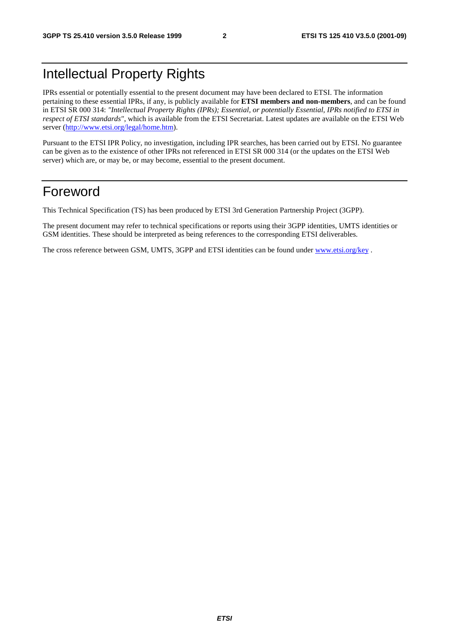# Intellectual Property Rights

IPRs essential or potentially essential to the present document may have been declared to ETSI. The information pertaining to these essential IPRs, if any, is publicly available for **ETSI members and non-members**, and can be found in ETSI SR 000 314: *"Intellectual Property Rights (IPRs); Essential, or potentially Essential, IPRs notified to ETSI in respect of ETSI standards"*, which is available from the ETSI Secretariat. Latest updates are available on the ETSI Web server ([http://www.etsi.org/legal/home.htm\)](http://www.etsi.org/legal/home.htm).

Pursuant to the ETSI IPR Policy, no investigation, including IPR searches, has been carried out by ETSI. No guarantee can be given as to the existence of other IPRs not referenced in ETSI SR 000 314 (or the updates on the ETSI Web server) which are, or may be, or may become, essential to the present document.

# Foreword

This Technical Specification (TS) has been produced by ETSI 3rd Generation Partnership Project (3GPP).

The present document may refer to technical specifications or reports using their 3GPP identities, UMTS identities or GSM identities. These should be interpreted as being references to the corresponding ETSI deliverables.

The cross reference between GSM, UMTS, 3GPP and ETSI identities can be found under [www.etsi.org/key](http://www.etsi.org/key) .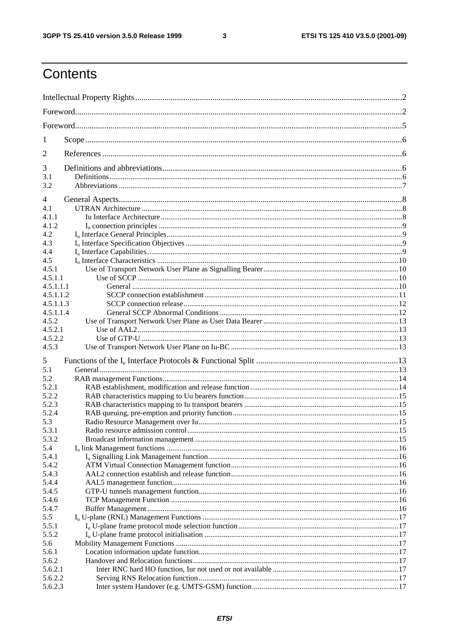$\mathbf{3}$ 

# Contents

| 1                |  |  |  |  |  |  |
|------------------|--|--|--|--|--|--|
| 2                |  |  |  |  |  |  |
| 3                |  |  |  |  |  |  |
| 3.1<br>3.2       |  |  |  |  |  |  |
|                  |  |  |  |  |  |  |
| 4<br>4.1         |  |  |  |  |  |  |
| 4.1.1            |  |  |  |  |  |  |
| 4.1.2            |  |  |  |  |  |  |
| 4.2              |  |  |  |  |  |  |
| 4.3              |  |  |  |  |  |  |
| 4.4              |  |  |  |  |  |  |
| 4.5              |  |  |  |  |  |  |
| 4.5.1            |  |  |  |  |  |  |
| 4.5.1.1          |  |  |  |  |  |  |
| 4.5.1.1.1        |  |  |  |  |  |  |
| 4.5.1.1.2        |  |  |  |  |  |  |
| 4.5.1.1.3        |  |  |  |  |  |  |
| 4.5.1.1.4        |  |  |  |  |  |  |
| 4.5.2            |  |  |  |  |  |  |
| 4.5.2.1          |  |  |  |  |  |  |
| 4.5.2.2          |  |  |  |  |  |  |
| 4.5.3            |  |  |  |  |  |  |
|                  |  |  |  |  |  |  |
| 5                |  |  |  |  |  |  |
| 5.1              |  |  |  |  |  |  |
| 5.2              |  |  |  |  |  |  |
| 5.2.1            |  |  |  |  |  |  |
| 5.2.2            |  |  |  |  |  |  |
| 5.2.3            |  |  |  |  |  |  |
| 5.2.4            |  |  |  |  |  |  |
| 5.3              |  |  |  |  |  |  |
| 5.3.1            |  |  |  |  |  |  |
| 5.3.2            |  |  |  |  |  |  |
| 5.4              |  |  |  |  |  |  |
| 5.4.1            |  |  |  |  |  |  |
| 5.4.2            |  |  |  |  |  |  |
| 5.4.3            |  |  |  |  |  |  |
| 5.4.4            |  |  |  |  |  |  |
| 5.4.5            |  |  |  |  |  |  |
| 5.4.6            |  |  |  |  |  |  |
| 5.4.7            |  |  |  |  |  |  |
| 5.5              |  |  |  |  |  |  |
| 5.5.1<br>5.5.2   |  |  |  |  |  |  |
|                  |  |  |  |  |  |  |
| 5.6              |  |  |  |  |  |  |
| 5.6.1            |  |  |  |  |  |  |
| 5.6.2<br>5.6.2.1 |  |  |  |  |  |  |
| 5.6.2.2          |  |  |  |  |  |  |
| 5.6.2.3          |  |  |  |  |  |  |
|                  |  |  |  |  |  |  |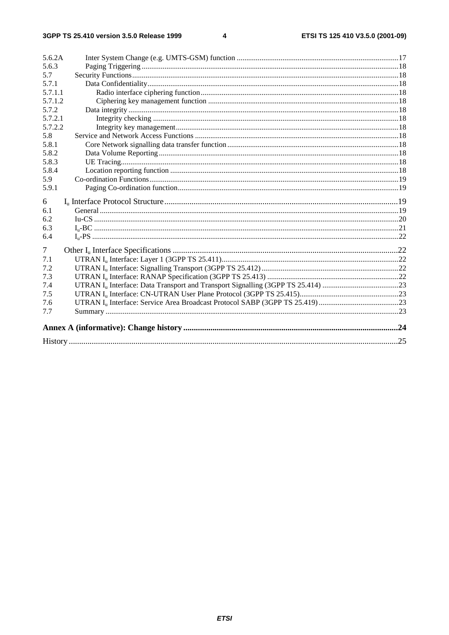| 5.6.2A  |  |
|---------|--|
| 5.6.3   |  |
| 5.7     |  |
| 5.7.1   |  |
| 5.7.1.1 |  |
| 5.7.1.2 |  |
| 5.7.2   |  |
| 5.7.2.1 |  |
| 5.7.2.2 |  |
| 5.8     |  |
| 5.8.1   |  |
| 5.8.2   |  |
| 5.8.3   |  |
| 5.8.4   |  |
| 5.9     |  |
| 5.9.1   |  |
| 6       |  |
| 6.1     |  |
| 6.2     |  |
| 6.3     |  |
| 6.4     |  |
| $\tau$  |  |
| 7.1     |  |
| 7.2     |  |
| 7.3     |  |
| 7.4     |  |
| 7.5     |  |
| 7.6     |  |
| 7.7     |  |
|         |  |
|         |  |
|         |  |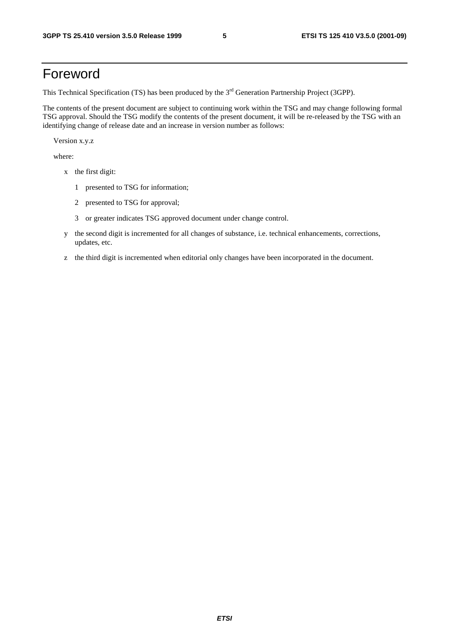# Foreword

This Technical Specification (TS) has been produced by the 3<sup>rd</sup> Generation Partnership Project (3GPP).

The contents of the present document are subject to continuing work within the TSG and may change following formal TSG approval. Should the TSG modify the contents of the present document, it will be re-released by the TSG with an identifying change of release date and an increase in version number as follows:

Version x.y.z

where:

- x the first digit:
	- 1 presented to TSG for information;
	- 2 presented to TSG for approval;
	- 3 or greater indicates TSG approved document under change control.
- y the second digit is incremented for all changes of substance, i.e. technical enhancements, corrections, updates, etc.
- z the third digit is incremented when editorial only changes have been incorporated in the document.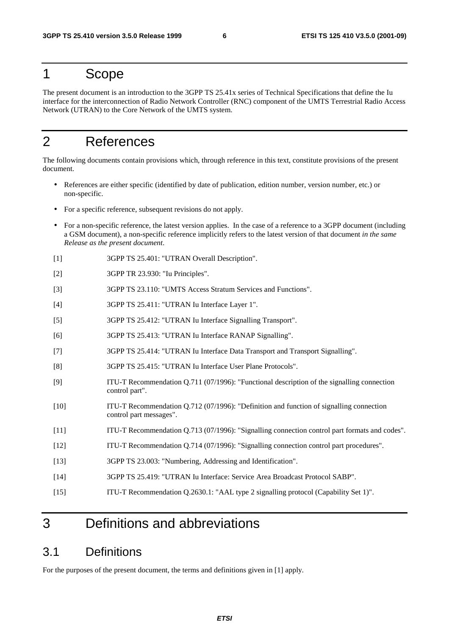# 1 Scope

The present document is an introduction to the 3GPP TS 25.41x series of Technical Specifications that define the Iu interface for the interconnection of Radio Network Controller (RNC) component of the UMTS Terrestrial Radio Access Network (UTRAN) to the Core Network of the UMTS system.

# 2 References

The following documents contain provisions which, through reference in this text, constitute provisions of the present document.

- References are either specific (identified by date of publication, edition number, version number, etc.) or non-specific.
- For a specific reference, subsequent revisions do not apply.
- For a non-specific reference, the latest version applies. In the case of a reference to a 3GPP document (including a GSM document), a non-specific reference implicitly refers to the latest version of that document *in the same Release as the present document*.
- [1] 3GPP TS 25.401: "UTRAN Overall Description".
- [2] 3GPP TR 23.930: "Iu Principles".
- [3] 3GPP TS 23.110: "UMTS Access Stratum Services and Functions".
- [4] 3GPP TS 25.411: "UTRAN Iu Interface Layer 1".
- [5] 3GPP TS 25.412: "UTRAN Iu Interface Signalling Transport".
- [6] 3GPP TS 25.413: "UTRAN Iu Interface RANAP Signalling".
- [7] 3GPP TS 25.414: "UTRAN Iu Interface Data Transport and Transport Signalling".
- [8] 3GPP TS 25.415: "UTRAN Iu Interface User Plane Protocols".
- [9] ITU-T Recommendation Q.711 (07/1996): "Functional description of the signalling connection control part".
- [10] ITU-T Recommendation Q.712 (07/1996): "Definition and function of signalling connection control part messages".
- [11] ITU-T Recommendation Q.713 (07/1996): "Signalling connection control part formats and codes".
- [12] ITU-T Recommendation Q.714 (07/1996): "Signalling connection control part procedures".
- [13] 3GPP TS 23.003: "Numbering, Addressing and Identification".
- [14] 3GPP TS 25.419: "UTRAN Iu Interface: Service Area Broadcast Protocol SABP".
- [15] ITU-T Recommendation Q.2630.1: "AAL type 2 signalling protocol (Capability Set 1)".

# 3 Definitions and abbreviations

### 3.1 Definitions

For the purposes of the present document, the terms and definitions given in [1] apply.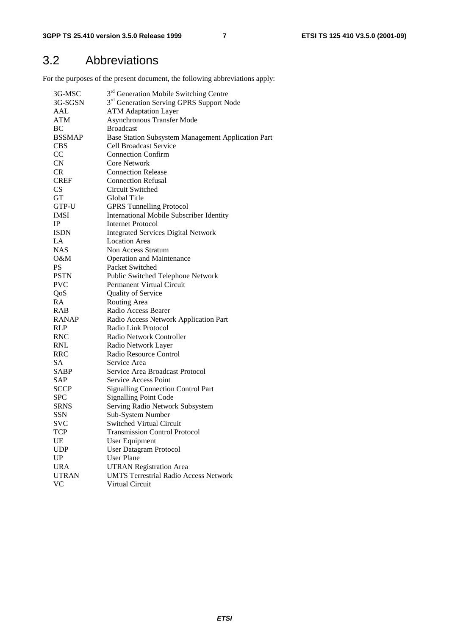# 3.2 Abbreviations

For the purposes of the present document, the following abbreviations apply:

| 3G-MSC        | 3 <sup>rd</sup> Generation Mobile Switching Centre   |
|---------------|------------------------------------------------------|
| 3G-SGSN       | 3 <sup>rd</sup> Generation Serving GPRS Support Node |
| AAL           | <b>ATM Adaptation Layer</b>                          |
| <b>ATM</b>    | <b>Asynchronous Transfer Mode</b>                    |
| BC            | <b>Broadcast</b>                                     |
| <b>BSSMAP</b> | Base Station Subsystem Management Application Part   |
| <b>CBS</b>    | Cell Broadcast Service                               |
| CC            | <b>Connection Confirm</b>                            |
| <b>CN</b>     | <b>Core Network</b>                                  |
| <b>CR</b>     | <b>Connection Release</b>                            |
| <b>CREF</b>   | <b>Connection Refusal</b>                            |
| <b>CS</b>     | Circuit Switched                                     |
| GT            | Global Title                                         |
| GTP-U         | <b>GPRS Tunnelling Protocol</b>                      |
| <b>IMSI</b>   | <b>International Mobile Subscriber Identity</b>      |
| $_{\rm IP}$   | <b>Internet Protocol</b>                             |
| <b>ISDN</b>   | <b>Integrated Services Digital Network</b>           |
| LA            | <b>Location Area</b>                                 |
| <b>NAS</b>    | Non Access Stratum                                   |
| O&M           | <b>Operation and Maintenance</b>                     |
| <b>PS</b>     | Packet Switched                                      |
| <b>PSTN</b>   | Public Switched Telephone Network                    |
| <b>PVC</b>    | Permanent Virtual Circuit                            |
| QoS           | Quality of Service                                   |
| RA            | Routing Area                                         |
| <b>RAB</b>    | Radio Access Bearer                                  |
| <b>RANAP</b>  | Radio Access Network Application Part                |
| <b>RLP</b>    | Radio Link Protocol                                  |
| <b>RNC</b>    | Radio Network Controller                             |
| <b>RNL</b>    | Radio Network Layer                                  |
| RRC           | Radio Resource Control                               |
| <b>SA</b>     | Service Area                                         |
| SABP          | Service Area Broadcast Protocol                      |
| SAP           | <b>Service Access Point</b>                          |
| <b>SCCP</b>   | <b>Signalling Connection Control Part</b>            |
| <b>SPC</b>    | <b>Signalling Point Code</b>                         |
| <b>SRNS</b>   | Serving Radio Network Subsystem                      |
| SSN           | Sub-System Number                                    |
| <b>SVC</b>    | <b>Switched Virtual Circuit</b>                      |
| TCP           | <b>Transmission Control Protocol</b>                 |
| UE            | User Equipment                                       |
| <b>UDP</b>    | <b>User Datagram Protocol</b>                        |
| UP            | <b>User Plane</b>                                    |
| <b>URA</b>    | <b>UTRAN Registration Area</b>                       |
| <b>UTRAN</b>  | <b>UMTS Terrestrial Radio Access Network</b>         |
| <b>VC</b>     | Virtual Circuit                                      |
|               |                                                      |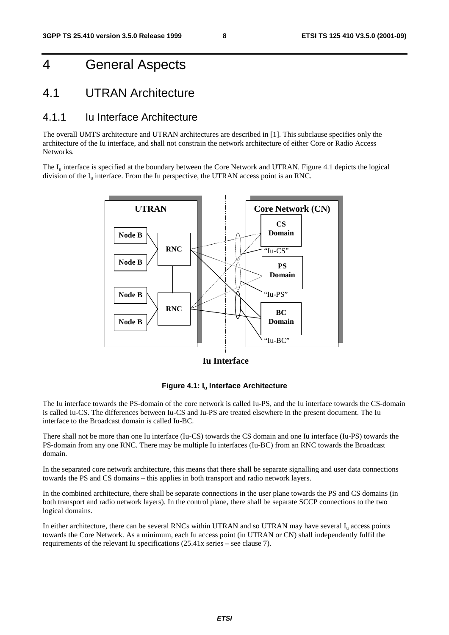# 4 General Aspects

# 4.1 UTRAN Architecture

### 4.1.1 Iu Interface Architecture

The overall UMTS architecture and UTRAN architectures are described in [1]. This subclause specifies only the architecture of the Iu interface, and shall not constrain the network architecture of either Core or Radio Access Networks.

The  $I_{\text{u}}$  interface is specified at the boundary between the Core Network and UTRAN. Figure 4.1 depicts the logical division of the  $I_u$  interface. From the Iu perspective, the UTRAN access point is an RNC.



**Iu Interface**

#### **Figure 4.1: Iu Interface Architecture**

The Iu interface towards the PS-domain of the core network is called Iu-PS, and the Iu interface towards the CS-domain is called Iu-CS. The differences between Iu-CS and Iu-PS are treated elsewhere in the present document. The Iu interface to the Broadcast domain is called Iu-BC.

There shall not be more than one Iu interface (Iu-CS) towards the CS domain and one Iu interface (Iu-PS) towards the PS-domain from any one RNC. There may be multiple Iu interfaces (Iu-BC) from an RNC towards the Broadcast domain.

In the separated core network architecture, this means that there shall be separate signalling and user data connections towards the PS and CS domains – this applies in both transport and radio network layers.

In the combined architecture, there shall be separate connections in the user plane towards the PS and CS domains (in both transport and radio network layers). In the control plane, there shall be separate SCCP connections to the two logical domains.

In either architecture, there can be several RNCs within UTRAN and so UTRAN may have several  $I_u$  access points towards the Core Network. As a minimum, each Iu access point (in UTRAN or CN) shall independently fulfil the requirements of the relevant Iu specifications (25.41x series – see clause 7).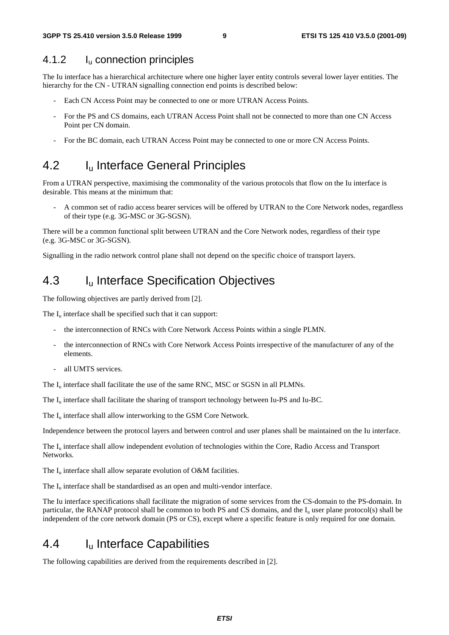### 4.1.2 Iu connection principles

The Iu interface has a hierarchical architecture where one higher layer entity controls several lower layer entities. The hierarchy for the CN - UTRAN signalling connection end points is described below:

- Each CN Access Point may be connected to one or more UTRAN Access Points.
- For the PS and CS domains, each UTRAN Access Point shall not be connected to more than one CN Access Point per CN domain.
- For the BC domain, each UTRAN Access Point may be connected to one or more CN Access Points.

# 4.2 I<sub>u</sub> Interface General Principles

From a UTRAN perspective, maximising the commonality of the various protocols that flow on the Iu interface is desirable. This means at the minimum that:

- A common set of radio access bearer services will be offered by UTRAN to the Core Network nodes, regardless of their type (e.g. 3G-MSC or 3G-SGSN).

There will be a common functional split between UTRAN and the Core Network nodes, regardless of their type (e.g. 3G-MSC or 3G-SGSN).

Signalling in the radio network control plane shall not depend on the specific choice of transport layers.

# 4.3 I<sub>u</sub> Interface Specification Objectives

The following objectives are partly derived from [2].

The  $I_{\text{u}}$  interface shall be specified such that it can support:

- the interconnection of RNCs with Core Network Access Points within a single PLMN.
- the interconnection of RNCs with Core Network Access Points irrespective of the manufacturer of any of the elements.
- all UMTS services.

The  $I_{\rm u}$  interface shall facilitate the use of the same RNC, MSC or SGSN in all PLMNs.

The Iu interface shall facilitate the sharing of transport technology between Iu-PS and Iu-BC.

The  $I_{\text{u}}$  interface shall allow interworking to the GSM Core Network.

Independence between the protocol layers and between control and user planes shall be maintained on the Iu interface.

The  $I_{\text{u}}$  interface shall allow independent evolution of technologies within the Core, Radio Access and Transport Networks.

The  $I_u$  interface shall allow separate evolution of O&M facilities.

The  $I_{\rm u}$  interface shall be standardised as an open and multi-vendor interface.

The Iu interface specifications shall facilitate the migration of some services from the CS-domain to the PS-domain. In particular, the RANAP protocol shall be common to both PS and CS domains, and the  $I<sub>u</sub>$  user plane protocol(s) shall be independent of the core network domain (PS or CS), except where a specific feature is only required for one domain.

# 4.4 I<sub>u</sub> Interface Capabilities

The following capabilities are derived from the requirements described in [2].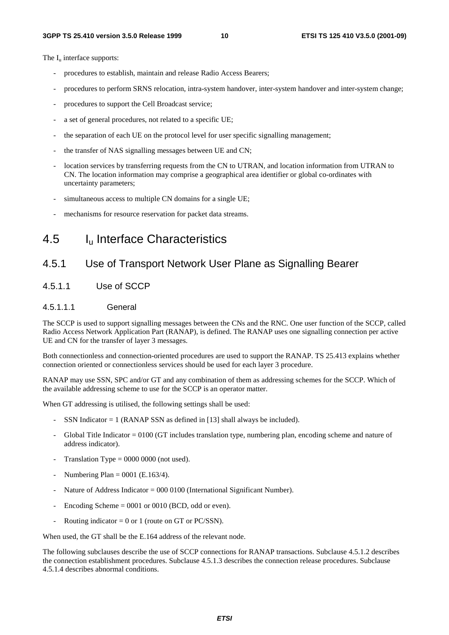The  $I_{\text{u}}$  interface supports:

- procedures to establish, maintain and release Radio Access Bearers;
- procedures to perform SRNS relocation, intra-system handover, inter-system handover and inter-system change;
- procedures to support the Cell Broadcast service;
- a set of general procedures, not related to a specific UE;
- the separation of each UE on the protocol level for user specific signalling management;
- the transfer of NAS signalling messages between UE and CN;
- location services by transferring requests from the CN to UTRAN, and location information from UTRAN to CN. The location information may comprise a geographical area identifier or global co-ordinates with uncertainty parameters;
- simultaneous access to multiple CN domains for a single UE;
- mechanisms for resource reservation for packet data streams.

## 4.5 Iu Interface Characteristics

#### 4.5.1 Use of Transport Network User Plane as Signalling Bearer

#### 4.5.1.1 Use of SCCP

#### 4.5.1.1.1 General

The SCCP is used to support signalling messages between the CNs and the RNC. One user function of the SCCP, called Radio Access Network Application Part (RANAP), is defined. The RANAP uses one signalling connection per active UE and CN for the transfer of layer 3 messages.

Both connectionless and connection-oriented procedures are used to support the RANAP. TS 25.413 explains whether connection oriented or connectionless services should be used for each layer 3 procedure.

RANAP may use SSN, SPC and/or GT and any combination of them as addressing schemes for the SCCP. Which of the available addressing scheme to use for the SCCP is an operator matter.

When GT addressing is utilised, the following settings shall be used:

- SSN Indicator  $= 1$  (RANAP SSN as defined in [13] shall always be included).
- Global Title Indicator = 0100 (GT includes translation type, numbering plan, encoding scheme and nature of address indicator).
- Translation Type  $= 0000 0000$  (not used).
- Numbering Plan =  $0001$  (E.163/4).
- Nature of Address Indicator =  $000\,0100$  (International Significant Number).
- Encoding Scheme  $= 0001$  or 0010 (BCD, odd or even).
- Routing indicator =  $0$  or 1 (route on GT or PC/SSN).

When used, the GT shall be the E.164 address of the relevant node.

The following subclauses describe the use of SCCP connections for RANAP transactions. Subclause 4.5.1.2 describes the connection establishment procedures. Subclause 4.5.1.3 describes the connection release procedures. Subclause 4.5.1.4 describes abnormal conditions.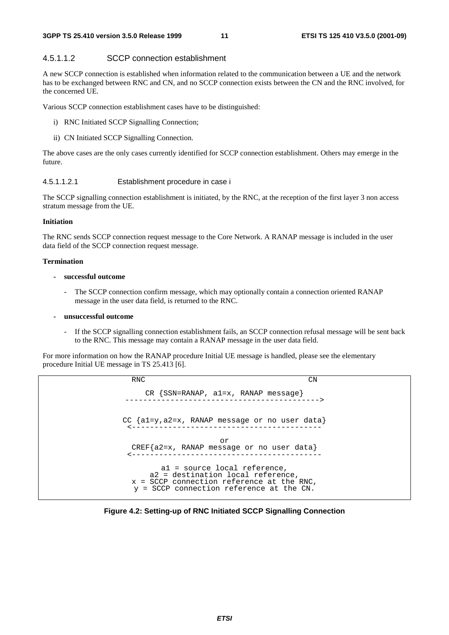#### 4.5.1.1.2 SCCP connection establishment

A new SCCP connection is established when information related to the communication between a UE and the network has to be exchanged between RNC and CN, and no SCCP connection exists between the CN and the RNC involved, for the concerned UE.

Various SCCP connection establishment cases have to be distinguished:

- i) RNC Initiated SCCP Signalling Connection;
- ii) CN Initiated SCCP Signalling Connection.

The above cases are the only cases currently identified for SCCP connection establishment. Others may emerge in the future.

#### 4.5.1.1.2.1 Establishment procedure in case i

The SCCP signalling connection establishment is initiated, by the RNC, at the reception of the first layer 3 non access stratum message from the UE.

#### **Initiation**

The RNC sends SCCP connection request message to the Core Network. A RANAP message is included in the user data field of the SCCP connection request message.

#### **Termination**

#### **- successful outcome**

The SCCP connection confirm message, which may optionally contain a connection oriented RANAP message in the user data field, is returned to the RNC.

#### **- unsuccessful outcome**

If the SCCP signalling connection establishment fails, an SCCP connection refusal message will be sent back to the RNC. This message may contain a RANAP message in the user data field.

For more information on how the RANAP procedure Initial UE message is handled, please see the elementary procedure Initial UE message in TS 25.413 [6].

> RNC CN CR {SSN=RANAP, a1=x, RANAP message} -------------------------------------------> CC {a1=y,a2=x, RANAP message or no user data} <----------------------------------------- or CREF{a2=x, RANAP message or no user data} <----------------------------------------- a1 = source local reference, a2 = destination local reference, x = SCCP connection reference at the RNC, y = SCCP connection reference at the CN.

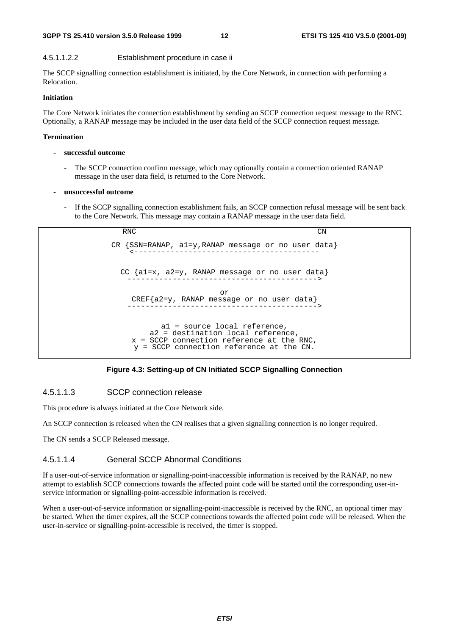#### 4.5.1.1.2.2 Establishment procedure in case ii

The SCCP signalling connection establishment is initiated, by the Core Network, in connection with performing a Relocation.

#### **Initiation**

The Core Network initiates the connection establishment by sending an SCCP connection request message to the RNC. Optionally, a RANAP message may be included in the user data field of the SCCP connection request message.

#### **Termination**

- **successful outcome** 
	- The SCCP connection confirm message, which may optionally contain a connection oriented RANAP message in the user data field, is returned to the Core Network.
- **unsuccessful outcome** 
	- If the SCCP signalling connection establishment fails, an SCCP connection refusal message will be sent back to the Core Network. This message may contain a RANAP message in the user data field.

RNC CN CR {SSN=RANAP, a1=y,RANAP message or no user data} <----------------------------------------- CC {a1=x, a2=y, RANAP message or no user data} ------------------------------------------> or CREF{a2=y, RANAP message or no user data} ------------------------------------------> a1 = source local reference, a2 = destination local reference, x = SCCP connection reference at the RNC, y = SCCP connection reference at the CN.

#### **Figure 4.3: Setting-up of CN Initiated SCCP Signalling Connection**

#### 4.5.1.1.3 SCCP connection release

This procedure is always initiated at the Core Network side.

An SCCP connection is released when the CN realises that a given signalling connection is no longer required.

The CN sends a SCCP Released message.

#### 4.5.1.1.4 General SCCP Abnormal Conditions

If a user-out-of-service information or signalling-point-inaccessible information is received by the RANAP, no new attempt to establish SCCP connections towards the affected point code will be started until the corresponding user-inservice information or signalling-point-accessible information is received.

When a user-out-of-service information or signalling-point-inaccessible is received by the RNC, an optional timer may be started. When the timer expires, all the SCCP connections towards the affected point code will be released. When the user-in-service or signalling-point-accessible is received, the timer is stopped.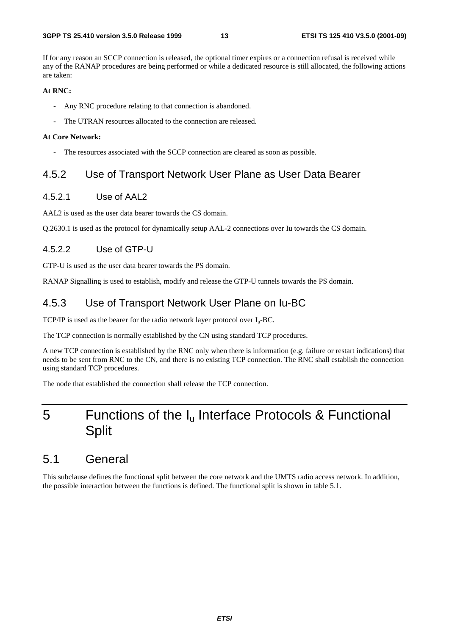If for any reason an SCCP connection is released, the optional timer expires or a connection refusal is received while any of the RANAP procedures are being performed or while a dedicated resource is still allocated, the following actions are taken:

#### **At RNC:**

- Any RNC procedure relating to that connection is abandoned.
- The UTRAN resources allocated to the connection are released.

#### **At Core Network:**

The resources associated with the SCCP connection are cleared as soon as possible.

### 4.5.2 Use of Transport Network User Plane as User Data Bearer

#### 4.5.2.1 Use of AAL2

AAL2 is used as the user data bearer towards the CS domain.

Q.2630.1 is used as the protocol for dynamically setup AAL-2 connections over Iu towards the CS domain.

#### 4.5.2.2 Use of GTP-U

GTP-U is used as the user data bearer towards the PS domain.

RANAP Signalling is used to establish, modify and release the GTP-U tunnels towards the PS domain.

### 4.5.3 Use of Transport Network User Plane on Iu-BC

TCP/IP is used as the bearer for the radio network layer protocol over  $I_u$ -BC.

The TCP connection is normally established by the CN using standard TCP procedures.

A new TCP connection is established by the RNC only when there is information (e.g. failure or restart indications) that needs to be sent from RNC to the CN, and there is no existing TCP connection. The RNC shall establish the connection using standard TCP procedures.

The node that established the connection shall release the TCP connection.

# 5 Functions of the I<sub>u</sub> Interface Protocols & Functional **Split**

# 5.1 General

This subclause defines the functional split between the core network and the UMTS radio access network. In addition, the possible interaction between the functions is defined. The functional split is shown in table 5.1.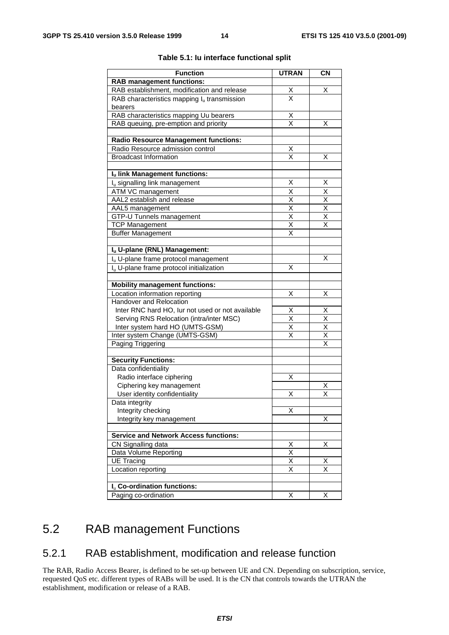| <b>Function</b>                                      | <b>UTRAN</b>                                       | <b>CN</b>                                          |
|------------------------------------------------------|----------------------------------------------------|----------------------------------------------------|
| <b>RAB management functions:</b>                     |                                                    |                                                    |
| RAB establishment, modification and release          | <u>х</u>                                           | X                                                  |
| RAB characteristics mapping $I_u$ transmission       | $\overline{\mathsf{x}}$                            |                                                    |
| bearers                                              |                                                    |                                                    |
| RAB characteristics mapping Uu bearers               | $\times$                                           |                                                    |
| RAB queuing, pre-emption and priority                | X                                                  | х                                                  |
|                                                      |                                                    |                                                    |
| <b>Radio Resource Management functions:</b>          |                                                    |                                                    |
| Radio Resource admission control                     | Χ                                                  |                                                    |
| <b>Broadcast Information</b>                         | $\overline{\mathsf{x}}$                            | Χ                                                  |
|                                                      |                                                    |                                                    |
| Iu link Management functions:                        |                                                    |                                                    |
| I <sub>u</sub> signalling link management            | х                                                  | х                                                  |
| ATM VC management                                    | X                                                  | $\overline{\mathsf{x}}$                            |
| AAL2 establish and release                           | $\overline{\mathsf{x}}$                            | $\overline{\mathsf{x}}$                            |
| AAL5 management                                      | $\overline{\mathsf{x}}$<br>$\overline{\mathsf{x}}$ | $\overline{\mathsf{x}}$<br>$\overline{\mathsf{x}}$ |
| GTP-U Tunnels management<br><b>TCP Management</b>    | $\overline{\mathsf{x}}$                            | $\overline{\mathsf{x}}$                            |
| <b>Buffer Management</b>                             | X                                                  |                                                    |
|                                                      |                                                    |                                                    |
| Iu U-plane (RNL) Management:                         |                                                    |                                                    |
| I <sub>u</sub> U-plane frame protocol management     |                                                    | X                                                  |
| I <sub>n</sub> U-plane frame protocol initialization | X                                                  |                                                    |
|                                                      |                                                    |                                                    |
| <b>Mobility management functions:</b>                |                                                    |                                                    |
| Location information reporting                       | X                                                  | х                                                  |
| Handover and Relocation                              |                                                    |                                                    |
| Inter RNC hard HO, lur not used or not available     | Χ                                                  | Χ                                                  |
| Serving RNS Relocation (intra/inter MSC)             | $\overline{\mathsf{x}}$                            | $\overline{\mathsf{x}}$                            |
| Inter system hard HO (UMTS-GSM)                      | X                                                  | $\overline{\mathsf{x}}$                            |
| Inter system Change (UMTS-GSM)                       | $\overline{\mathsf{x}}$                            | $\overline{\mathsf{x}}$                            |
| Paging Triggering                                    |                                                    | $\overline{\mathsf{x}}$                            |
|                                                      |                                                    |                                                    |
| <b>Security Functions:</b>                           |                                                    |                                                    |
| Data confidentiality<br>Radio interface ciphering    | Χ                                                  |                                                    |
| Ciphering key management                             |                                                    | X                                                  |
| User identity confidentiality                        | Χ                                                  | $\overline{\mathsf{x}}$                            |
| Data integrity                                       |                                                    |                                                    |
| Integrity checking                                   | Χ                                                  |                                                    |
| Integrity key management                             |                                                    | Χ                                                  |
|                                                      |                                                    |                                                    |
| <b>Service and Network Access functions:</b>         |                                                    |                                                    |
| CN Signalling data                                   | X                                                  | Χ                                                  |
| Data Volume Reporting                                | Χ                                                  |                                                    |
| <b>UE Tracing</b>                                    | $\overline{\mathsf{x}}$                            | х                                                  |
| Location reporting                                   | $\overline{\mathsf{x}}$                            | $\overline{\mathsf{x}}$                            |
|                                                      |                                                    |                                                    |
| I <sub>u</sub> Co-ordination functions:              |                                                    |                                                    |
| Paging co-ordination                                 | Χ                                                  | X                                                  |

#### **Table 5.1: Iu interface functional split**

# 5.2 RAB management Functions

### 5.2.1 RAB establishment, modification and release function

The RAB, Radio Access Bearer, is defined to be set-up between UE and CN. Depending on subscription, service, requested QoS etc. different types of RABs will be used. It is the CN that controls towards the UTRAN the establishment, modification or release of a RAB.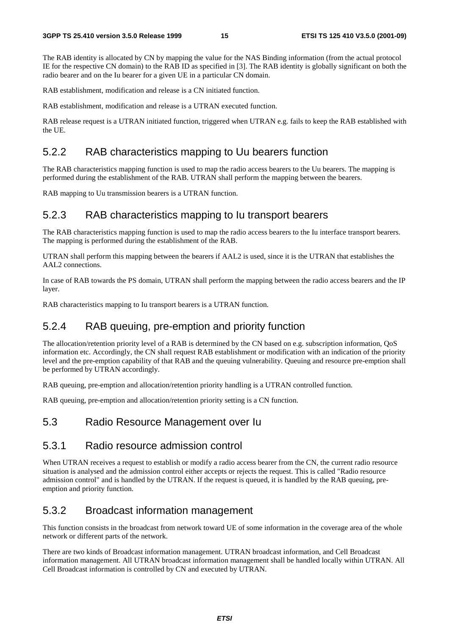The RAB identity is allocated by CN by mapping the value for the NAS Binding information (from the actual protocol IE for the respective CN domain) to the RAB ID as specified in [3]. The RAB identity is globally significant on both the radio bearer and on the Iu bearer for a given UE in a particular CN domain.

RAB establishment, modification and release is a CN initiated function.

RAB establishment, modification and release is a UTRAN executed function.

RAB release request is a UTRAN initiated function, triggered when UTRAN e.g. fails to keep the RAB established with the UE.

### 5.2.2 RAB characteristics mapping to Uu bearers function

The RAB characteristics mapping function is used to map the radio access bearers to the Uu bearers. The mapping is performed during the establishment of the RAB. UTRAN shall perform the mapping between the bearers.

RAB mapping to Uu transmission bearers is a UTRAN function.

### 5.2.3 RAB characteristics mapping to Iu transport bearers

The RAB characteristics mapping function is used to map the radio access bearers to the Iu interface transport bearers. The mapping is performed during the establishment of the RAB.

UTRAN shall perform this mapping between the bearers if AAL2 is used, since it is the UTRAN that establishes the AAL2 connections.

In case of RAB towards the PS domain, UTRAN shall perform the mapping between the radio access bearers and the IP layer.

RAB characteristics mapping to Iu transport bearers is a UTRAN function.

### 5.2.4 RAB queuing, pre-emption and priority function

The allocation/retention priority level of a RAB is determined by the CN based on e.g. subscription information, QoS information etc. Accordingly, the CN shall request RAB establishment or modification with an indication of the priority level and the pre-emption capability of that RAB and the queuing vulnerability. Queuing and resource pre-emption shall be performed by UTRAN accordingly.

RAB queuing, pre-emption and allocation/retention priority handling is a UTRAN controlled function.

RAB queuing, pre-emption and allocation/retention priority setting is a CN function.

### 5.3 Radio Resource Management over Iu

#### 5.3.1 Radio resource admission control

When UTRAN receives a request to establish or modify a radio access bearer from the CN, the current radio resource situation is analysed and the admission control either accepts or rejects the request. This is called "Radio resource admission control" and is handled by the UTRAN. If the request is queued, it is handled by the RAB queuing, preemption and priority function.

### 5.3.2 Broadcast information management

This function consists in the broadcast from network toward UE of some information in the coverage area of the whole network or different parts of the network.

There are two kinds of Broadcast information management. UTRAN broadcast information, and Cell Broadcast information management. All UTRAN broadcast information management shall be handled locally within UTRAN. All Cell Broadcast information is controlled by CN and executed by UTRAN.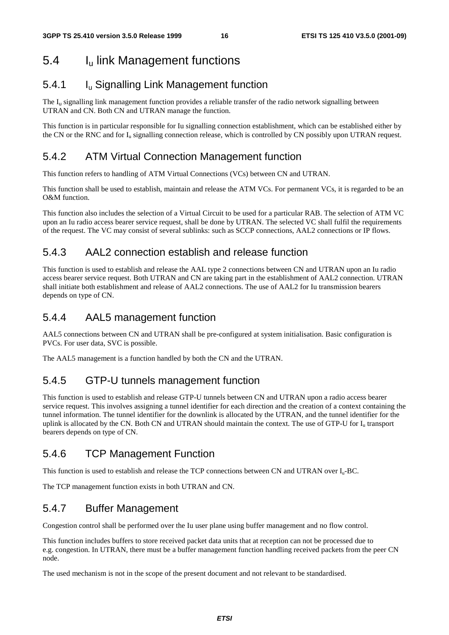# 5.4 Iu link Management functions

# 5.4.1 Iu Signalling Link Management function

The  $I<sub>u</sub>$  signalling link management function provides a reliable transfer of the radio network signalling between UTRAN and CN. Both CN and UTRAN manage the function.

This function is in particular responsible for Iu signalling connection establishment, which can be established either by the CN or the RNC and for  $I_u$  signalling connection release, which is controlled by CN possibly upon UTRAN request.

### 5.4.2 ATM Virtual Connection Management function

This function refers to handling of ATM Virtual Connections (VCs) between CN and UTRAN.

This function shall be used to establish, maintain and release the ATM VCs. For permanent VCs, it is regarded to be an O&M function.

This function also includes the selection of a Virtual Circuit to be used for a particular RAB. The selection of ATM VC upon an Iu radio access bearer service request, shall be done by UTRAN. The selected VC shall fulfil the requirements of the request. The VC may consist of several sublinks: such as SCCP connections, AAL2 connections or IP flows.

## 5.4.3 AAL2 connection establish and release function

This function is used to establish and release the AAL type 2 connections between CN and UTRAN upon an Iu radio access bearer service request. Both UTRAN and CN are taking part in the establishment of AAL2 connection. UTRAN shall initiate both establishment and release of AAL2 connections. The use of AAL2 for Iu transmission bearers depends on type of CN.

### 5.4.4 AAL5 management function

AAL5 connections between CN and UTRAN shall be pre-configured at system initialisation. Basic configuration is PVCs. For user data, SVC is possible.

The AAL5 management is a function handled by both the CN and the UTRAN.

### 5.4.5 GTP-U tunnels management function

This function is used to establish and release GTP-U tunnels between CN and UTRAN upon a radio access bearer service request. This involves assigning a tunnel identifier for each direction and the creation of a context containing the tunnel information. The tunnel identifier for the downlink is allocated by the UTRAN, and the tunnel identifier for the uplink is allocated by the CN. Both CN and UTRAN should maintain the context. The use of GTP-U for  $I<sub>u</sub>$  transport bearers depends on type of CN.

### 5.4.6 TCP Management Function

This function is used to establish and release the TCP connections between CN and UTRAN over  $I_{u}$ -BC.

The TCP management function exists in both UTRAN and CN.

### 5.4.7 Buffer Management

Congestion control shall be performed over the Iu user plane using buffer management and no flow control.

This function includes buffers to store received packet data units that at reception can not be processed due to e.g. congestion. In UTRAN, there must be a buffer management function handling received packets from the peer CN node.

The used mechanism is not in the scope of the present document and not relevant to be standardised.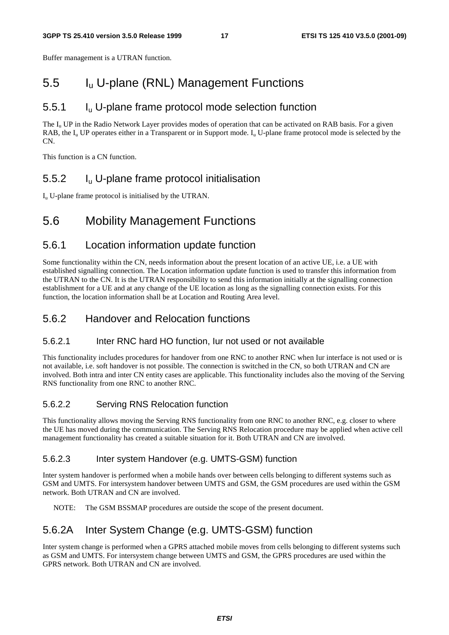Buffer management is a UTRAN function.

# 5.5 Iu U-plane (RNL) Management Functions

### 5.5.1 Iu U-plane frame protocol mode selection function

The  $I_{\rm u}$  UP in the Radio Network Layer provides modes of operation that can be activated on RAB basis. For a given RAB, the  $I_{\text{u}}$  UP operates either in a Transparent or in Support mode.  $I_{\text{u}}$  U-plane frame protocol mode is selected by the CN.

This function is a CN function.

### 5.5.2 Iu U-plane frame protocol initialisation

 $I<sub>u</sub>$  U-plane frame protocol is initialised by the UTRAN.

# 5.6 Mobility Management Functions

### 5.6.1 Location information update function

Some functionality within the CN, needs information about the present location of an active UE, i.e. a UE with established signalling connection. The Location information update function is used to transfer this information from the UTRAN to the CN. It is the UTRAN responsibility to send this information initially at the signalling connection establishment for a UE and at any change of the UE location as long as the signalling connection exists. For this function, the location information shall be at Location and Routing Area level.

### 5.6.2 Handover and Relocation functions

#### 5.6.2.1 Inter RNC hard HO function, Iur not used or not available

This functionality includes procedures for handover from one RNC to another RNC when Iur interface is not used or is not available, i.e. soft handover is not possible. The connection is switched in the CN, so both UTRAN and CN are involved. Both intra and inter CN entity cases are applicable. This functionality includes also the moving of the Serving RNS functionality from one RNC to another RNC.

#### 5.6.2.2 Serving RNS Relocation function

This functionality allows moving the Serving RNS functionality from one RNC to another RNC, e.g. closer to where the UE has moved during the communication. The Serving RNS Relocation procedure may be applied when active cell management functionality has created a suitable situation for it. Both UTRAN and CN are involved.

#### 5.6.2.3 Inter system Handover (e.g. UMTS-GSM) function

Inter system handover is performed when a mobile hands over between cells belonging to different systems such as GSM and UMTS. For intersystem handover between UMTS and GSM, the GSM procedures are used within the GSM network. Both UTRAN and CN are involved.

NOTE: The GSM BSSMAP procedures are outside the scope of the present document.

# 5.6.2A Inter System Change (e.g. UMTS-GSM) function

Inter system change is performed when a GPRS attached mobile moves from cells belonging to different systems such as GSM and UMTS. For intersystem change between UMTS and GSM, the GPRS procedures are used within the GPRS network. Both UTRAN and CN are involved.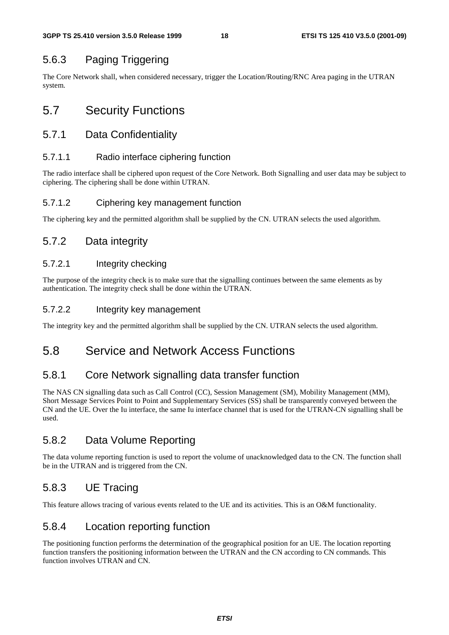# 5.6.3 Paging Triggering

The Core Network shall, when considered necessary, trigger the Location/Routing/RNC Area paging in the UTRAN system.

# 5.7 Security Functions

### 5.7.1 Data Confidentiality

#### 5.7.1.1 Radio interface ciphering function

The radio interface shall be ciphered upon request of the Core Network. Both Signalling and user data may be subject to ciphering. The ciphering shall be done within UTRAN.

#### 5.7.1.2 Ciphering key management function

The ciphering key and the permitted algorithm shall be supplied by the CN. UTRAN selects the used algorithm.

### 5.7.2 Data integrity

#### 5.7.2.1 Integrity checking

The purpose of the integrity check is to make sure that the signalling continues between the same elements as by authentication. The integrity check shall be done within the UTRAN.

#### 5.7.2.2 Integrity key management

The integrity key and the permitted algorithm shall be supplied by the CN. UTRAN selects the used algorithm.

# 5.8 Service and Network Access Functions

### 5.8.1 Core Network signalling data transfer function

The NAS CN signalling data such as Call Control (CC), Session Management (SM), Mobility Management (MM), Short Message Services Point to Point and Supplementary Services (SS) shall be transparently conveyed between the CN and the UE. Over the Iu interface, the same Iu interface channel that is used for the UTRAN-CN signalling shall be used.

# 5.8.2 Data Volume Reporting

The data volume reporting function is used to report the volume of unacknowledged data to the CN. The function shall be in the UTRAN and is triggered from the CN.

# 5.8.3 UE Tracing

This feature allows tracing of various events related to the UE and its activities. This is an O&M functionality.

# 5.8.4 Location reporting function

The positioning function performs the determination of the geographical position for an UE. The location reporting function transfers the positioning information between the UTRAN and the CN according to CN commands. This function involves UTRAN and CN.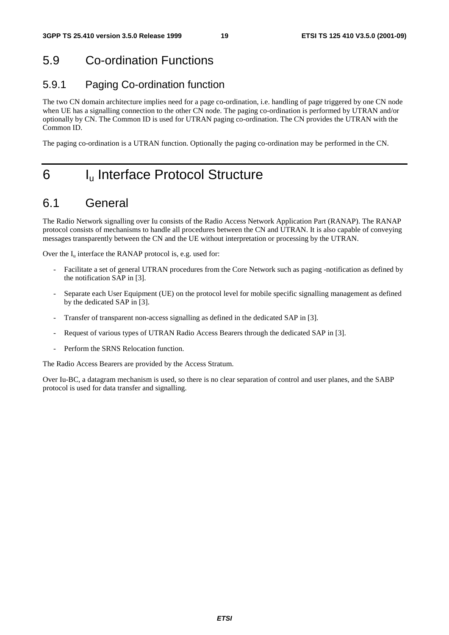# 5.9 Co-ordination Functions

# 5.9.1 Paging Co-ordination function

The two CN domain architecture implies need for a page co-ordination, i.e. handling of page triggered by one CN node when UE has a signalling connection to the other CN node. The paging co-ordination is performed by UTRAN and/or optionally by CN. The Common ID is used for UTRAN paging co-ordination. The CN provides the UTRAN with the Common ID.

The paging co-ordination is a UTRAN function. Optionally the paging co-ordination may be performed in the CN.

# 6 I<sub>u</sub> Interface Protocol Structure

# 6.1 General

The Radio Network signalling over Iu consists of the Radio Access Network Application Part (RANAP). The RANAP protocol consists of mechanisms to handle all procedures between the CN and UTRAN. It is also capable of conveying messages transparently between the CN and the UE without interpretation or processing by the UTRAN.

Over the  $I_u$  interface the RANAP protocol is, e.g. used for:

- Facilitate a set of general UTRAN procedures from the Core Network such as paging -notification as defined by the notification SAP in [3].
- Separate each User Equipment (UE) on the protocol level for mobile specific signalling management as defined by the dedicated SAP in [3].
- Transfer of transparent non-access signalling as defined in the dedicated SAP in [3].
- Request of various types of UTRAN Radio Access Bearers through the dedicated SAP in [3].
- Perform the SRNS Relocation function.

The Radio Access Bearers are provided by the Access Stratum.

Over Iu-BC, a datagram mechanism is used, so there is no clear separation of control and user planes, and the SABP protocol is used for data transfer and signalling.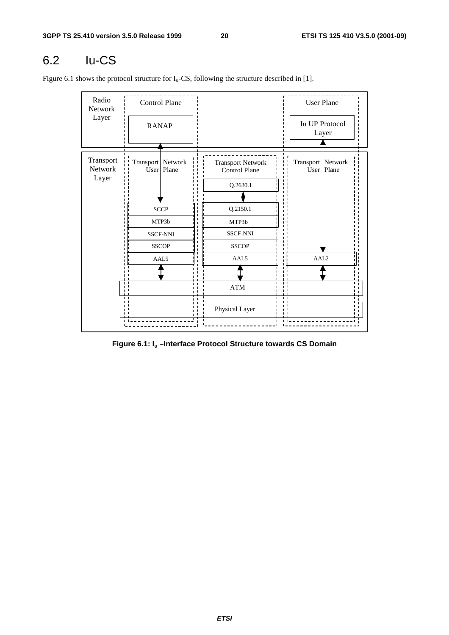# 6.2 Iu-CS

Figure 6.1 shows the protocol structure for  $I_u$ -CS, following the structure described in [1].

| Radio<br>Network<br>Layer     | <b>Control Plane</b><br><b>RANAP</b> |                                                                         |                                                                                                               | <b>User Plane</b><br><b>Iu UP Protocol</b><br>Layer |
|-------------------------------|--------------------------------------|-------------------------------------------------------------------------|---------------------------------------------------------------------------------------------------------------|-----------------------------------------------------|
| Transport<br>Network<br>Layer | Transport Network                    | User   Plane<br><b>SCCP</b><br>MTP3b<br><b>SSCF-NNI</b><br><b>SSCOP</b> | <b>Transport Network</b><br>Control Plane<br>Q.2630.1<br>Q.2150.1<br>MTP3b<br><b>SSCF-NNI</b><br><b>SSCOP</b> | Transport Network<br>User   Plane                   |
|                               | AAL5<br>ТI<br>τI<br>п<br>1 I         | AAL5<br>$\bold{ATM}$<br>Physical Layer                                  | AAL <sub>2</sub><br>$\blacksquare$<br>$\mathbf{1}$                                                            |                                                     |

**Figure 6.1: Iu –Interface Protocol Structure towards CS Domain**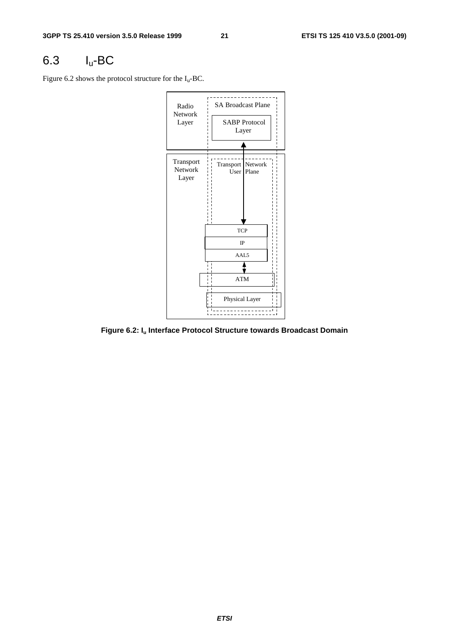# 6.3 Iu-BC

Figure 6.2 shows the protocol structure for the  $I_u$ -BC.



**Figure 6.2: Iu Interface Protocol Structure towards Broadcast Domain**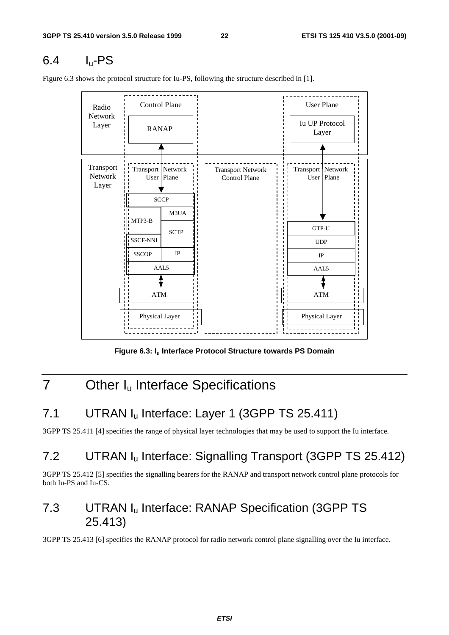# $6.4$  I<sub>u</sub>-PS

<u> - - - - - - - - - - -</u> Control Plane (User Plane Radio Network Iu UP Protocol Layer RANAP Layer Transport Transport Network Transport Network Transport Network Network User Plane Control Plane User Plane Layer **SCCP** M3UA MTP3-B GTP-U **SCTP** SSCF-NNI SSCF-NNI UDP IP **SSCOP** IP AAL5 AAL5 ATM ATM Physical Layer Physical Layer

Figure 6.3 shows the protocol structure for Iu-PS, following the structure described in [1].

Figure 6.3: I<sub>u</sub> Interface Protocol Structure towards PS Domain

# 7 Other I<sub>u</sub> Interface Specifications

# 7.1 UTRAN I<sub>u</sub> Interface: Layer 1 (3GPP TS 25.411)

3GPP TS 25.411 [4] specifies the range of physical layer technologies that may be used to support the Iu interface.

# 7.2 UTRAN Iu Interface: Signalling Transport (3GPP TS 25.412)

3GPP TS 25.412 [5] specifies the signalling bearers for the RANAP and transport network control plane protocols for both Iu-PS and Iu-CS.

# 7.3 UTRAN Iu Interface: RANAP Specification (3GPP TS 25.413)

3GPP TS 25.413 [6] specifies the RANAP protocol for radio network control plane signalling over the Iu interface.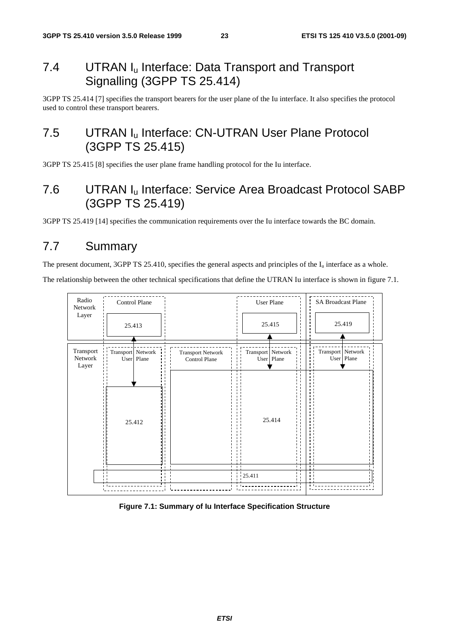# 7.4 UTRAN I<sub>u</sub> Interface: Data Transport and Transport Signalling (3GPP TS 25.414)

3GPP TS 25.414 [7] specifies the transport bearers for the user plane of the Iu interface. It also specifies the protocol used to control these transport bearers.

# 7.5 UTRAN I<sub>u</sub> Interface: CN-UTRAN User Plane Protocol (3GPP TS 25.415)

3GPP TS 25.415 [8] specifies the user plane frame handling protocol for the Iu interface.

# 7.6 UTRAN Iu Interface: Service Area Broadcast Protocol SABP (3GPP TS 25.419)

3GPP TS 25.419 [14] specifies the communication requirements over the Iu interface towards the BC domain.

# 7.7 Summary

The present document, 3GPP TS 25.410, specifies the general aspects and principles of the  $I_u$  interface as a whole.

The relationship between the other technical specifications that define the UTRAN Iu interface is shown in figure 7.1.



**Figure 7.1: Summary of Iu Interface Specification Structure**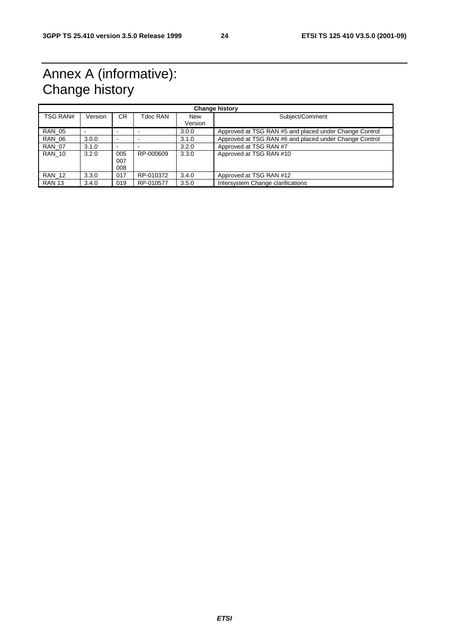# Annex A (informative): Change history

| <b>Change history</b> |         |                          |           |                       |                                                        |
|-----------------------|---------|--------------------------|-----------|-----------------------|--------------------------------------------------------|
| <b>TSG RAN#</b>       | Version | CR.                      | Tdoc RAN  | <b>New</b><br>Version | Subject/Comment                                        |
| <b>RAN 05</b>         |         |                          |           | 3.0.0                 | Approved at TSG RAN #5 and placed under Change Control |
| <b>RAN 06</b>         | 3.0.0   | $\overline{\phantom{0}}$ |           | 3.1.0                 | Approved at TSG RAN #6 and placed under Change Control |
| <b>RAN 07</b>         | 3.1.0   |                          |           | 3.2.0                 | Approved at TSG RAN #7                                 |
| <b>RAN 10</b>         | 3.2.0   | 005<br>007<br>008        | RP-000609 | 3.3.0                 | Approved at TSG RAN #10                                |
| <b>RAN 12</b>         | 3.3.0   | 017                      | RP-010372 | 3.4.0                 | Approved at TSG RAN #12                                |
| <b>RAN 13</b>         | 3.4.0   | 019                      | RP-010577 | 3.5.0                 | Intersystem Change clarifications                      |